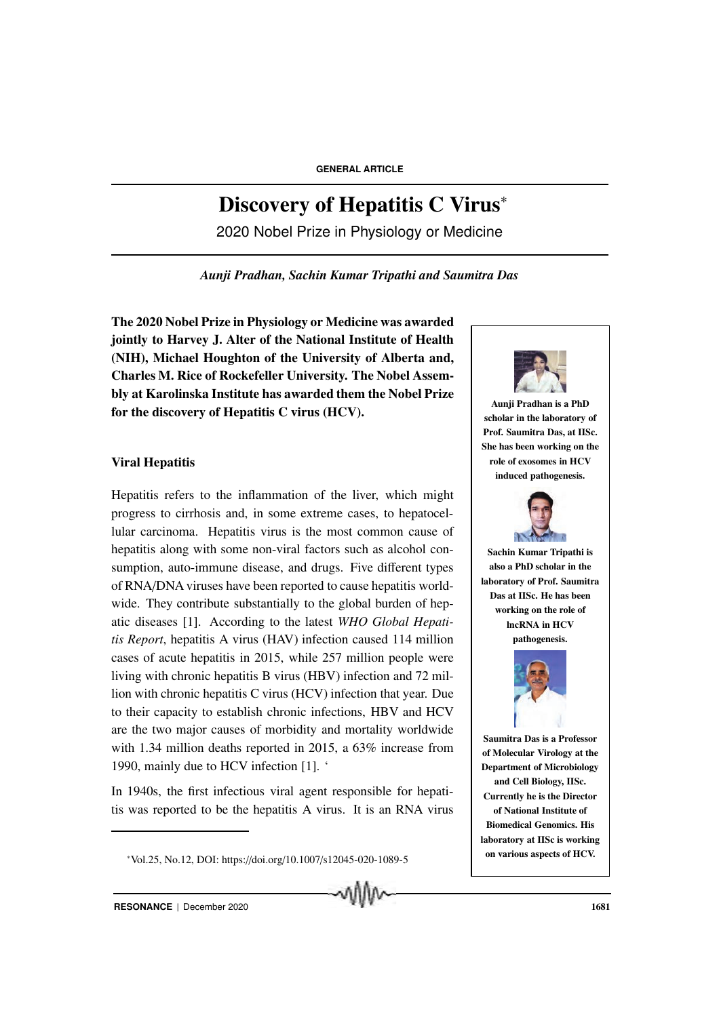# Discovery of Hepatitis C Virus<sup>∗</sup>

2020 Nobel Prize in Physiology or Medicine

*Aunji Pradhan, Sachin Kumar Tripathi and Saumitra Das*

The 2020 Nobel Prize in Physiology or Medicine was awarded jointly to Harvey J. Alter of the National Institute of Health (NIH), Michael Houghton of the University of Alberta and, Charles M. Rice of Rockefeller University. The Nobel Assembly at Karolinska Institute has awarded them the Nobel Prize for the discovery of Hepatitis C virus (HCV).

## Viral Hepatitis

Hepatitis refers to the inflammation of the liver, which might progress to cirrhosis and, in some extreme cases, to hepatocellular carcinoma. Hepatitis virus is the most common cause of hepatitis along with some non-viral factors such as alcohol consumption, auto-immune disease, and drugs. Five different types of RNA/DNA viruses have been reported to cause hepatitis worldwide. They contribute substantially to the global burden of hepatic diseases [1]. According to the latest *WHO Global Hepatitis Report*, hepatitis A virus (HAV) infection caused 114 million cases of acute hepatitis in 2015, while 257 million people were living with chronic hepatitis B virus (HBV) infection and 72 million with chronic hepatitis C virus (HCV) infection that year. Due to their capacity to establish chronic infections, HBV and HCV are the two major causes of morbidity and mortality worldwide with 1.34 million deaths reported in 2015, a 63% increase from 1990, mainly due to HCV infection [1]. '

In 1940s, the first infectious viral agent responsible for hepatitis was reported to be the hepatitis A virus. It is an RNA virus

<sup>∗</sup>Vol.25, No.12, DOI: https://doi.org/10.1007/s12045-020-1089-5



Aunji Pradhan is a PhD scholar in the laboratory of Prof. Saumitra Das, at IISc. She has been working on the role of exosomes in HCV induced pathogenesis.



Sachin Kumar Tripathi is also a PhD scholar in the laboratory of Prof. Saumitra Das at IISc. He has been working on the role of lncRNA in HCV pathogenesis.



Saumitra Das is a Professor of Molecular Virology at the Department of Microbiology and Cell Biology, IISc. Currently he is the Director of National Institute of Biomedical Genomics. His laboratory at IISc is working on various aspects of HCV.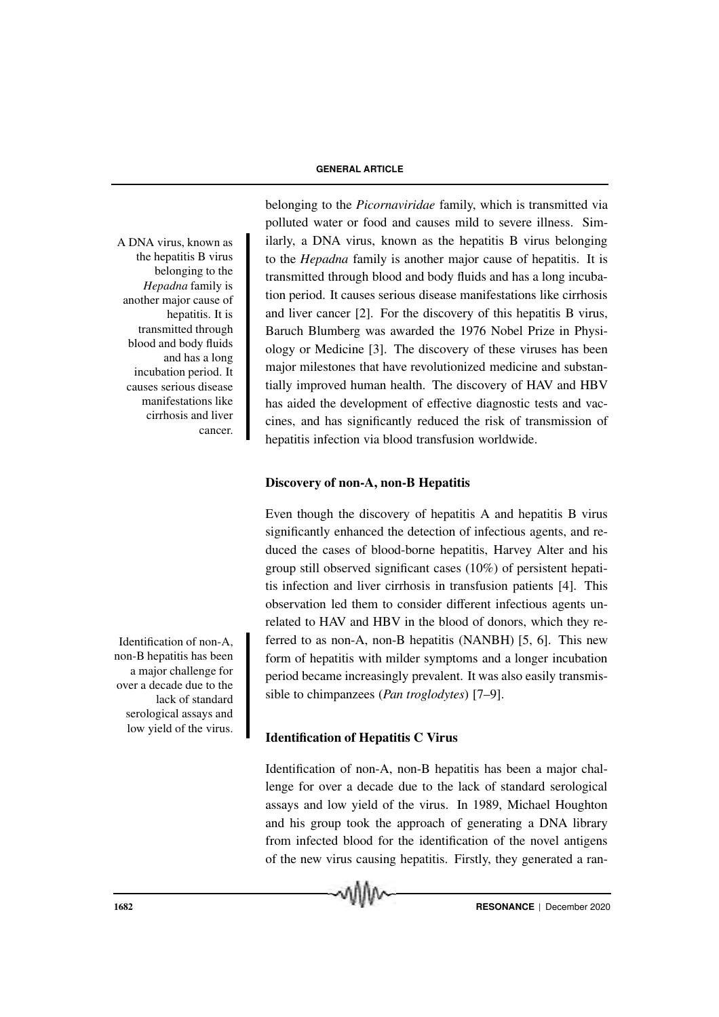the hepatitis B virus belonging to the *Hepadna* family is another major cause of hepatitis. It is transmitted through blood and body fluids and has a long incubation period. It causes serious disease manifestations like cirrhosis and liver cancer.

non-B hepatitis has been a major challenge for over a decade due to the lack of standard serological assays and low yield of the virus.

belonging to the *Picornaviridae* family, which is transmitted via polluted water or food and causes mild to severe illness. Sim-A DNA virus, known as ilarly, a DNA virus, known as the hepatitis B virus belonging to the *Hepadna* family is another major cause of hepatitis. It is transmitted through blood and body fluids and has a long incubation period. It causes serious disease manifestations like cirrhosis and liver cancer [2]. For the discovery of this hepatitis B virus, Baruch Blumberg was awarded the 1976 Nobel Prize in Physiology or Medicine [3]. The discovery of these viruses has been major milestones that have revolutionized medicine and substantially improved human health. The discovery of HAV and HBV has aided the development of effective diagnostic tests and vaccines, and has significantly reduced the risk of transmission of hepatitis infection via blood transfusion worldwide.

## Discovery of non-A, non-B Hepatitis

Even though the discovery of hepatitis A and hepatitis B virus significantly enhanced the detection of infectious agents, and reduced the cases of blood-borne hepatitis, Harvey Alter and his group still observed significant cases (10%) of persistent hepatitis infection and liver cirrhosis in transfusion patients [4]. This observation led them to consider different infectious agents unrelated to HAV and HBV in the blood of donors, which they re-Identification of non-A, ferred to as non-A, non-B hepatitis (NANBH) [5, 6]. This new form of hepatitis with milder symptoms and a longer incubation period became increasingly prevalent. It was also easily transmissible to chimpanzees (*Pan troglodytes*) [7–9].

## Identification of Hepatitis C Virus

Identification of non-A, non-B hepatitis has been a major challenge for over a decade due to the lack of standard serological assays and low yield of the virus. In 1989, Michael Houghton and his group took the approach of generating a DNA library from infected blood for the identification of the novel antigens of the new virus causing hepatitis. Firstly, they generated a ran-

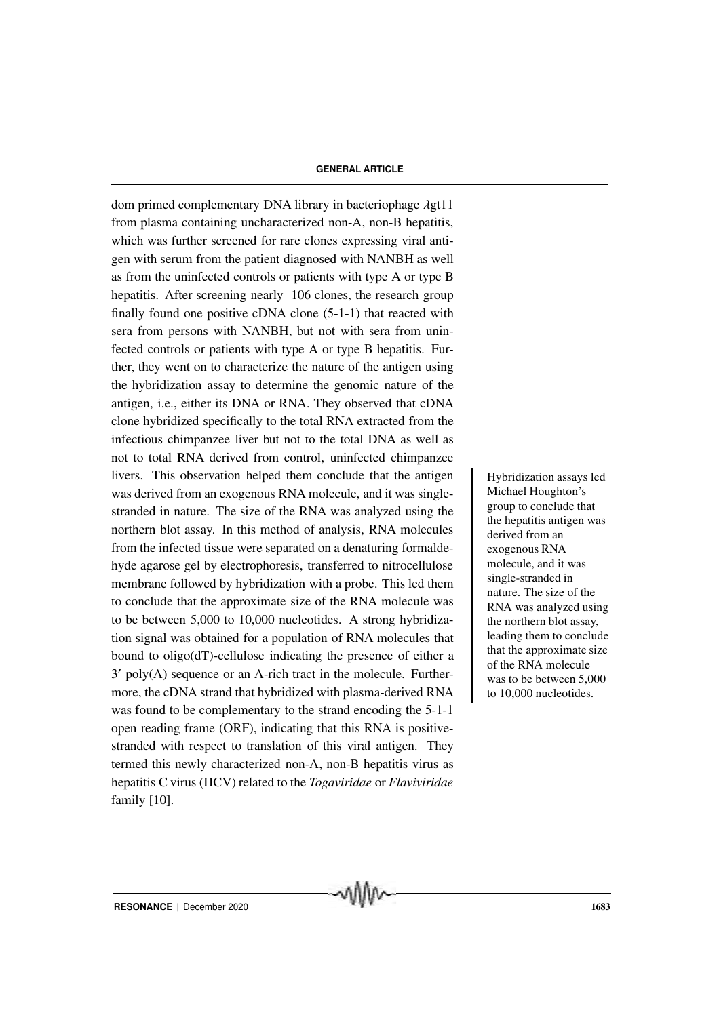dom primed complementary DNA library in bacteriophage λgt11 from plasma containing uncharacterized non-A, non-B hepatitis, which was further screened for rare clones expressing viral antigen with serum from the patient diagnosed with NANBH as well as from the uninfected controls or patients with type A or type B hepatitis. After screening nearly 106 clones, the research group finally found one positive cDNA clone (5-1-1) that reacted with sera from persons with NANBH, but not with sera from uninfected controls or patients with type A or type B hepatitis. Further, they went on to characterize the nature of the antigen using the hybridization assay to determine the genomic nature of the antigen, i.e., either its DNA or RNA. They observed that cDNA clone hybridized specifically to the total RNA extracted from the infectious chimpanzee liver but not to the total DNA as well as not to total RNA derived from control, uninfected chimpanzee livers. This observation helped them conclude that the antigen Hybridization assays led was derived from an exogenous RNA molecule, and it was singlestranded in nature. The size of the RNA was analyzed using the northern blot assay. In this method of analysis, RNA molecules from the infected tissue were separated on a denaturing formaldehyde agarose gel by electrophoresis, transferred to nitrocellulose membrane followed by hybridization with a probe. This led them to conclude that the approximate size of the RNA molecule was to be between 5,000 to 10,000 nucleotides. A strong hybridization signal was obtained for a population of RNA molecules that bound to oligo(dT)-cellulose indicating the presence of either a 3 ′ poly(A) sequence or an A-rich tract in the molecule. Furthermore, the cDNA strand that hybridized with plasma-derived RNA was found to be complementary to the strand encoding the 5-1-1 open reading frame (ORF), indicating that this RNA is positivestranded with respect to translation of this viral antigen. They termed this newly characterized non-A, non-B hepatitis virus as hepatitis C virus (HCV) related to the *Togaviridae* or *Flaviviridae* family [10].

Michael Houghton's group to conclude that the hepatitis antigen was derived from an exogenous RNA molecule, and it was single-stranded in nature. The size of the RNA was analyzed using the northern blot assay, leading them to conclude that the approximate size of the RNA molecule was to be between 5,000 to 10,000 nucleotides.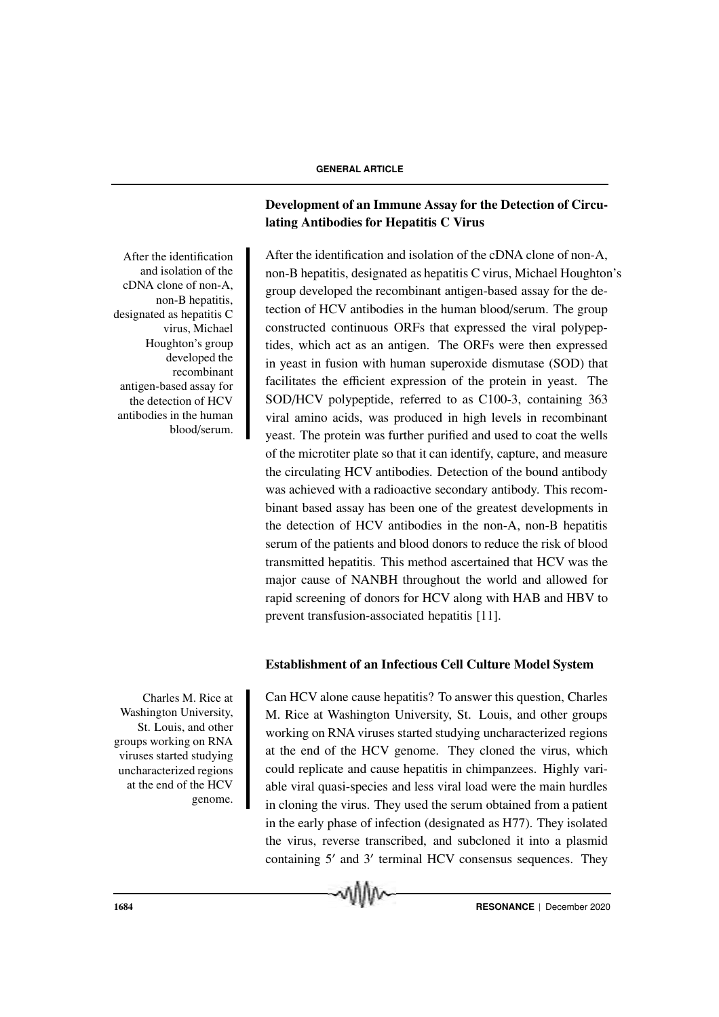After the identification and isolation of the cDNA clone of non-A, non-B hepatitis, designated as hepatitis C virus, Michael Houghton's group developed the recombinant antigen-based assay for the detection of HCV antibodies in the human blood/serum.

Charles M. Rice at Washington University, St. Louis, and other groups working on RNA viruses started studying uncharacterized regions at the end of the HCV genome.

## Development of an Immune Assay for the Detection of Circulating Antibodies for Hepatitis C Virus

After the identification and isolation of the cDNA clone of non-A, non-B hepatitis, designated as hepatitis C virus, Michael Houghton's group developed the recombinant antigen-based assay for the detection of HCV antibodies in the human blood/serum. The group constructed continuous ORFs that expressed the viral polypeptides, which act as an antigen. The ORFs were then expressed in yeast in fusion with human superoxide dismutase (SOD) that facilitates the efficient expression of the protein in yeast. The SOD/HCV polypeptide, referred to as C100-3, containing 363 viral amino acids, was produced in high levels in recombinant yeast. The protein was further purified and used to coat the wells of the microtiter plate so that it can identify, capture, and measure the circulating HCV antibodies. Detection of the bound antibody was achieved with a radioactive secondary antibody. This recombinant based assay has been one of the greatest developments in the detection of HCV antibodies in the non-A, non-B hepatitis serum of the patients and blood donors to reduce the risk of blood transmitted hepatitis. This method ascertained that HCV was the major cause of NANBH throughout the world and allowed for rapid screening of donors for HCV along with HAB and HBV to prevent transfusion-associated hepatitis [11].

## Establishment of an Infectious Cell Culture Model System

Can HCV alone cause hepatitis? To answer this question, Charles M. Rice at Washington University, St. Louis, and other groups working on RNA viruses started studying uncharacterized regions at the end of the HCV genome. They cloned the virus, which could replicate and cause hepatitis in chimpanzees. Highly variable viral quasi-species and less viral load were the main hurdles in cloning the virus. They used the serum obtained from a patient in the early phase of infection (designated as H77). They isolated the virus, reverse transcribed, and subcloned it into a plasmid containing 5′ and 3′ terminal HCV consensus sequences. They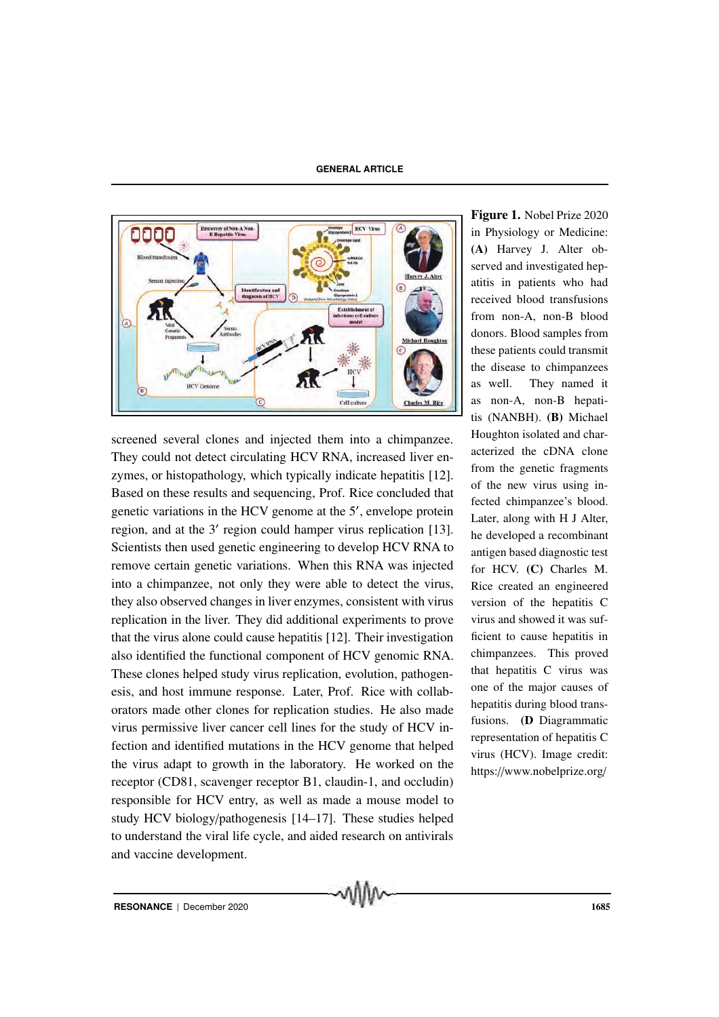

screened several clones and injected them into a chimpanzee. They could not detect circulating HCV RNA, increased liver enzymes, or histopathology, which typically indicate hepatitis [12]. Based on these results and sequencing, Prof. Rice concluded that genetic variations in the HCV genome at the 5′ , envelope protein region, and at the 3′ region could hamper virus replication [13]. Scientists then used genetic engineering to develop HCV RNA to remove certain genetic variations. When this RNA was injected into a chimpanzee, not only they were able to detect the virus, they also observed changes in liver enzymes, consistent with virus replication in the liver. They did additional experiments to prove that the virus alone could cause hepatitis [12]. Their investigation also identified the functional component of HCV genomic RNA. These clones helped study virus replication, evolution, pathogenesis, and host immune response. Later, Prof. Rice with collaborators made other clones for replication studies. He also made virus permissive liver cancer cell lines for the study of HCV infection and identified mutations in the HCV genome that helped the virus adapt to growth in the laboratory. He worked on the receptor (CD81, scavenger receptor B1, claudin-1, and occludin) responsible for HCV entry, as well as made a mouse model to study HCV biology/pathogenesis [14–17]. These studies helped to understand the viral life cycle, and aided research on antivirals and vaccine development.

Figure 1. Nobel Prize 2020 in Physiology or Medicine: (A) Harvey J. Alter observed and investigated hepatitis in patients who had received blood transfusions from non-A, non-B blood donors. Blood samples from these patients could transmit the disease to chimpanzees as well. They named it as non-A, non-B hepatitis (NANBH). (B) Michael Houghton isolated and characterized the cDNA clone from the genetic fragments of the new virus using infected chimpanzee's blood. Later, along with H J Alter, he developed a recombinant antigen based diagnostic test for HCV. (C) Charles M. Rice created an engineered version of the hepatitis C virus and showed it was sufficient to cause hepatitis in chimpanzees. This proved that hepatitis C virus was one of the major causes of hepatitis during blood transfusions. (D Diagrammatic representation of hepatitis C virus (HCV). Image credit: https://www.nobelprize.org/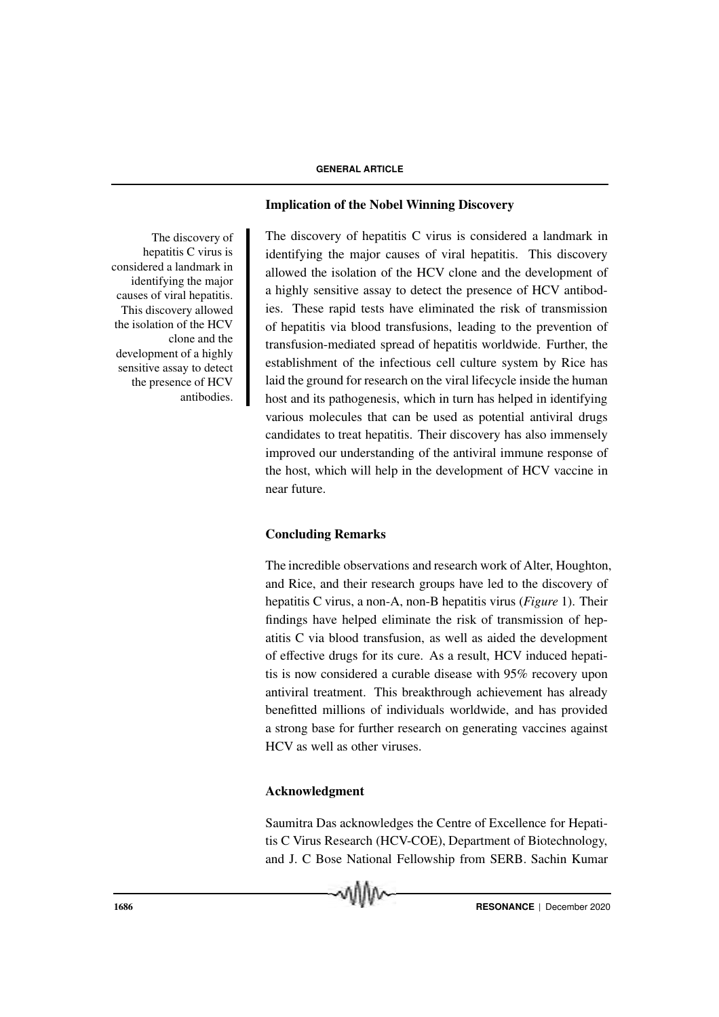The discovery of hepatitis C virus is considered a landmark in identifying the major causes of viral hepatitis. This discovery allowed the isolation of the HCV clone and the development of a highly sensitive assay to detect the presence of HCV antibodies.

## Implication of the Nobel Winning Discovery

The discovery of hepatitis  $C$  virus is considered a landmark in identifying the major causes of viral hepatitis. This discovery allowed the isolation of the HCV clone and the development of a highly sensitive assay to detect the presence of HCV antibodies. These rapid tests have eliminated the risk of transmission of hepatitis via blood transfusions, leading to the prevention of transfusion-mediated spread of hepatitis worldwide. Further, the establishment of the infectious cell culture system by Rice has laid the ground for research on the viral lifecycle inside the human host and its pathogenesis, which in turn has helped in identifying various molecules that can be used as potential antiviral drugs candidates to treat hepatitis. Their discovery has also immensely improved our understanding of the antiviral immune response of the host, which will help in the development of HCV vaccine in near future.

## Concluding Remarks

The incredible observations and research work of Alter, Houghton, and Rice, and their research groups have led to the discovery of hepatitis C virus, a non-A, non-B hepatitis virus (*Figure* 1). Their findings have helped eliminate the risk of transmission of hepatitis C via blood transfusion, as well as aided the development of effective drugs for its cure. As a result, HCV induced hepatitis is now considered a curable disease with 95% recovery upon antiviral treatment. This breakthrough achievement has already benefitted millions of individuals worldwide, and has provided a strong base for further research on generating vaccines against HCV as well as other viruses.

## Acknowledgment

Saumitra Das acknowledges the Centre of Excellence for Hepatitis C Virus Research (HCV-COE), Department of Biotechnology, and J. C Bose National Fellowship from SERB. Sachin Kumar